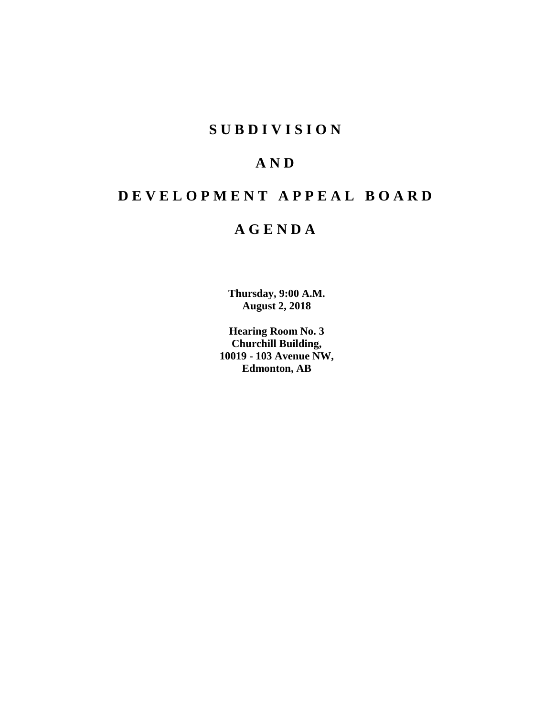# **SUBDIVISION**

# **AND**

# **DEVELOPMENT APPEAL BOARD**

# **AGENDA**

**Thursday, 9:00 A.M. August 2, 2018**

**Hearing Room No. 3 Churchill Building, 10019 - 103 Avenue NW, Edmonton, AB**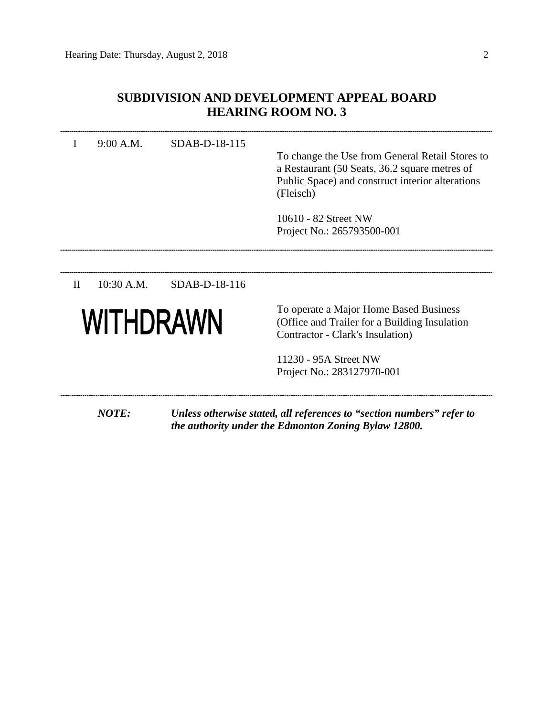# **SUBDIVISION AND DEVELOPMENT APPEAL BOARD HEARING ROOM NO. 3**

| I            | 9:00 A.M.    | SDAB-D-18-115 | To change the Use from General Retail Stores to<br>a Restaurant (50 Seats, 36.2 square metres of<br>Public Space) and construct interior alterations<br>(Fleisch)<br>10610 - 82 Street NW<br>Project No.: 265793500-001 |
|--------------|--------------|---------------|-------------------------------------------------------------------------------------------------------------------------------------------------------------------------------------------------------------------------|
|              |              |               |                                                                                                                                                                                                                         |
| $\mathbf{I}$ | 10:30 A.M.   | SDAB-D-18-116 |                                                                                                                                                                                                                         |
| WITHDRAWN    |              |               | To operate a Major Home Based Business<br>(Office and Trailer for a Building Insulation)<br>Contractor - Clark's Insulation)                                                                                            |
|              |              |               | 11230 - 95A Street NW                                                                                                                                                                                                   |
|              |              |               | Project No.: 283127970-001                                                                                                                                                                                              |
|              | <b>NOTE:</b> |               | Unless otherwise stated, all references to "section numbers" refer to<br>the authority under the Edmonton Zoning Bylaw 12800.                                                                                           |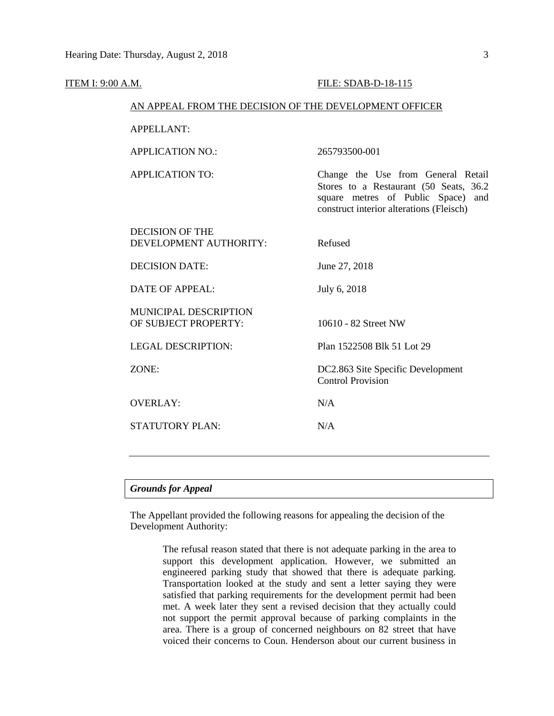| <u>ITEM I: 9:00 A.M.</u> |                                                        | FILE: SDAB-D-18-115                                                                                                                                                |  |  |  |  |
|--------------------------|--------------------------------------------------------|--------------------------------------------------------------------------------------------------------------------------------------------------------------------|--|--|--|--|
|                          | AN APPEAL FROM THE DECISION OF THE DEVELOPMENT OFFICER |                                                                                                                                                                    |  |  |  |  |
|                          | <b>APPELLANT:</b>                                      |                                                                                                                                                                    |  |  |  |  |
|                          | <b>APPLICATION NO.:</b>                                | 265793500-001                                                                                                                                                      |  |  |  |  |
|                          | <b>APPLICATION TO:</b>                                 | Change the Use from General Retail<br>Stores to a Restaurant (50 Seats, 36.2)<br>square metres of Public Space)<br>and<br>construct interior alterations (Fleisch) |  |  |  |  |
|                          | <b>DECISION OF THE</b><br>DEVELOPMENT AUTHORITY:       | Refused                                                                                                                                                            |  |  |  |  |
|                          | <b>DECISION DATE:</b>                                  | June 27, 2018                                                                                                                                                      |  |  |  |  |
|                          | <b>DATE OF APPEAL:</b>                                 | July 6, 2018                                                                                                                                                       |  |  |  |  |
|                          | MUNICIPAL DESCRIPTION<br>OF SUBJECT PROPERTY:          | 10610 - 82 Street NW                                                                                                                                               |  |  |  |  |
|                          | <b>LEGAL DESCRIPTION:</b>                              | Plan 1522508 Blk 51 Lot 29                                                                                                                                         |  |  |  |  |
|                          | ZONE:                                                  | DC2.863 Site Specific Development<br><b>Control Provision</b>                                                                                                      |  |  |  |  |
|                          | <b>OVERLAY:</b>                                        | N/A                                                                                                                                                                |  |  |  |  |
|                          | <b>STATUTORY PLAN:</b>                                 | N/A                                                                                                                                                                |  |  |  |  |
|                          |                                                        |                                                                                                                                                                    |  |  |  |  |
|                          |                                                        |                                                                                                                                                                    |  |  |  |  |

# *Grounds for Appeal*

The Appellant provided the following reasons for appealing the decision of the Development Authority:

> The refusal reason stated that there is not adequate parking in the area to support this development application. However, we submitted an engineered parking study that showed that there is adequate parking. Transportation looked at the study and sent a letter saying they were satisfied that parking requirements for the development permit had been met. A week later they sent a revised decision that they actually could not support the permit approval because of parking complaints in the area. There is a group of concerned neighbours on 82 street that have voiced their concerns to Coun. Henderson about our current business in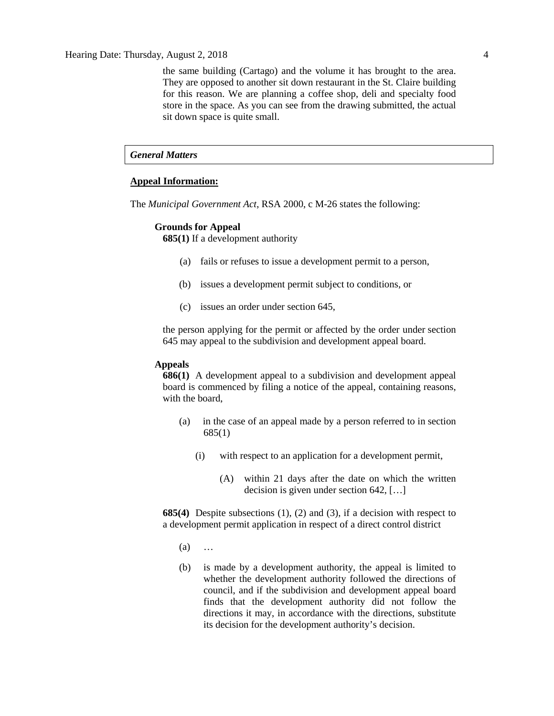Hearing Date: Thursday, August 2, 2018 4

the same building (Cartago) and the volume it has brought to the area. They are opposed to another sit down restaurant in the St. Claire building for this reason. We are planning a coffee shop, deli and specialty food store in the space. As you can see from the drawing submitted, the actual sit down space is quite small.

# *General Matters*

### **Appeal Information:**

The *Municipal Government Act*, RSA 2000, c M-26 states the following:

### **Grounds for Appeal**

**685(1)** If a development authority

- (a) fails or refuses to issue a development permit to a person,
- (b) issues a development permit subject to conditions, or
- (c) issues an order under section 645,

the person applying for the permit or affected by the order under section 645 may appeal to the subdivision and development appeal board.

### **Appeals**

**686(1)** A development appeal to a subdivision and development appeal board is commenced by filing a notice of the appeal, containing reasons, with the board,

- (a) in the case of an appeal made by a person referred to in section 685(1)
	- (i) with respect to an application for a development permit,
		- (A) within 21 days after the date on which the written decision is given under section 642, […]

**685(4)** Despite subsections (1), (2) and (3), if a decision with respect to a development permit application in respect of a direct control district

- (a) …
- (b) is made by a development authority, the appeal is limited to whether the development authority followed the directions of council, and if the subdivision and development appeal board finds that the development authority did not follow the directions it may, in accordance with the directions, substitute its decision for the development authority's decision.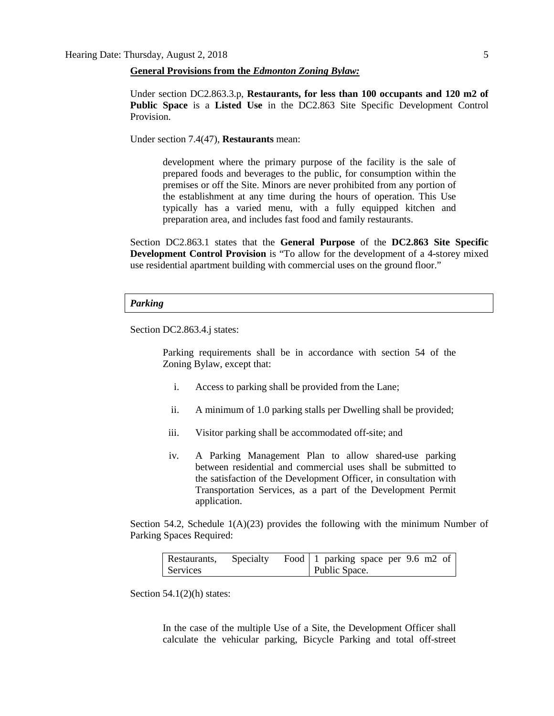**General Provisions from the** *Edmonton Zoning Bylaw:*

Under section DC2.863.3.p, **Restaurants, for less than 100 occupants and 120 m2 of Public Space** is a **Listed Use** in the DC2.863 Site Specific Development Control Provision.

Under section 7.4(47), **Restaurants** mean:

development where the primary purpose of the facility is the sale of prepared foods and beverages to the public, for consumption within the premises or off the Site. Minors are never prohibited from any portion of the establishment at any time during the hours of operation. This Use typically has a varied menu, with a fully equipped kitchen and preparation area, and includes fast food and family restaurants.

Section DC2.863.1 states that the **General Purpose** of the **DC2.863 Site Specific Development Control Provision** is "To allow for the development of a 4-storey mixed use residential apartment building with commercial uses on the ground floor."

### *Parking*

Section DC2.863.4.j states:

Parking requirements shall be in accordance with section 54 of the Zoning Bylaw, except that:

- i. Access to parking shall be provided from the Lane;
- ii. A minimum of 1.0 parking stalls per Dwelling shall be provided;
- iii. Visitor parking shall be accommodated off-site; and
- iv. A Parking Management Plan to allow shared-use parking between residential and commercial uses shall be submitted to the satisfaction of the Development Officer, in consultation with Transportation Services, as a part of the Development Permit application.

Section 54.2, Schedule  $1(A)(23)$  provides the following with the minimum Number of Parking Spaces Required:

| Restaurants, | Specialty | Food   1 parking space per $9.6$ m2 of |
|--------------|-----------|----------------------------------------|
| Services     |           | Public Space.                          |

Section  $54.1(2)$ (h) states:

In the case of the multiple Use of a Site, the Development Officer shall calculate the vehicular parking, Bicycle Parking and total off-street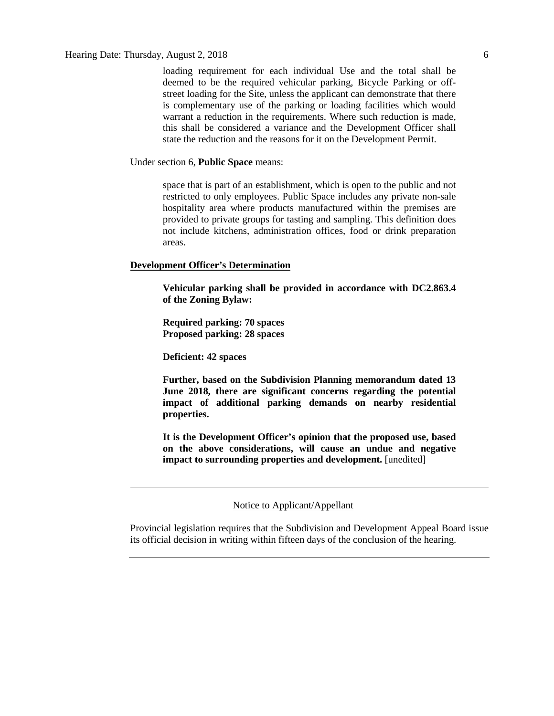loading requirement for each individual Use and the total shall be deemed to be the required vehicular parking, Bicycle Parking or offstreet loading for the Site, unless the applicant can demonstrate that there is complementary use of the parking or loading facilities which would warrant a reduction in the requirements. Where such reduction is made, this shall be considered a variance and the Development Officer shall state the reduction and the reasons for it on the Development Permit.

Under section 6, **Public Space** means:

space that is part of an establishment, which is open to the public and not restricted to only employees. Public Space includes any private non-sale hospitality area where products manufactured within the premises are provided to private groups for tasting and sampling. This definition does not include kitchens, administration offices, food or drink preparation areas.

### **Development Officer's Determination**

**Vehicular parking shall be provided in accordance with DC2.863.4 of the Zoning Bylaw:**

**Required parking: 70 spaces Proposed parking: 28 spaces**

**Deficient: 42 spaces**

**Further, based on the Subdivision Planning memorandum dated 13 June 2018, there are significant concerns regarding the potential impact of additional parking demands on nearby residential properties.** 

**It is the Development Officer's opinion that the proposed use, based on the above considerations, will cause an undue and negative impact to surrounding properties and development.** [unedited]

## Notice to Applicant/Appellant

Provincial legislation requires that the Subdivision and Development Appeal Board issue its official decision in writing within fifteen days of the conclusion of the hearing.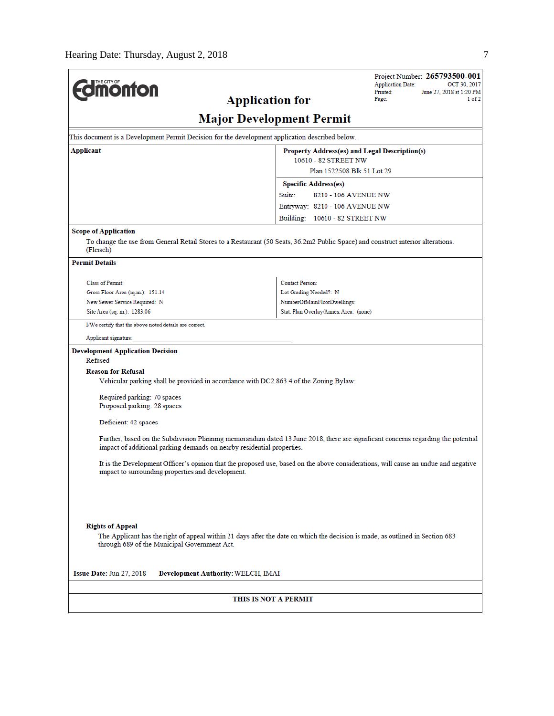| <b>monton</b>                                                                                                                                                                                              | <b>Application for</b>             |                        |                                               | <b>Application Date:</b><br>Printed:<br>Page: | Project Number: 265793500-001<br>OCT 30, 2017<br>June 27, 2018 at 1:20 PM<br>1 of 2 |
|------------------------------------------------------------------------------------------------------------------------------------------------------------------------------------------------------------|------------------------------------|------------------------|-----------------------------------------------|-----------------------------------------------|-------------------------------------------------------------------------------------|
|                                                                                                                                                                                                            | <b>Major Development Permit</b>    |                        |                                               |                                               |                                                                                     |
| This document is a Development Permit Decision for the development application described below.                                                                                                            |                                    |                        |                                               |                                               |                                                                                     |
| Applicant                                                                                                                                                                                                  |                                    |                        | Property Address(es) and Legal Description(s) |                                               |                                                                                     |
|                                                                                                                                                                                                            |                                    |                        | 10610 - 82 STREET NW                          |                                               |                                                                                     |
|                                                                                                                                                                                                            |                                    |                        | Plan 1522508 Blk 51 Lot 29                    |                                               |                                                                                     |
|                                                                                                                                                                                                            |                                    |                        | <b>Specific Address(es)</b>                   |                                               |                                                                                     |
|                                                                                                                                                                                                            |                                    | Suite:                 | 8210 - 106 AVENUE NW                          |                                               |                                                                                     |
|                                                                                                                                                                                                            |                                    |                        | Entryway: 8210 - 106 AVENUE NW                |                                               |                                                                                     |
|                                                                                                                                                                                                            |                                    |                        | Building: 10610 - 82 STREET NW                |                                               |                                                                                     |
| <b>Scope of Application</b>                                                                                                                                                                                |                                    |                        |                                               |                                               |                                                                                     |
| To change the use from General Retail Stores to a Restaurant (50 Seats, 36.2m2 Public Space) and construct interior alterations.<br>(Fleisch)                                                              |                                    |                        |                                               |                                               |                                                                                     |
| <b>Permit Details</b>                                                                                                                                                                                      |                                    |                        |                                               |                                               |                                                                                     |
| <b>Class of Permit:</b>                                                                                                                                                                                    |                                    | <b>Contact Person:</b> |                                               |                                               |                                                                                     |
| Gross Floor Area (sq.m.): 151.14                                                                                                                                                                           |                                    | Lot Grading Needed?: N |                                               |                                               |                                                                                     |
| New Sewer Service Required: N                                                                                                                                                                              |                                    |                        | NumberOfMainFloorDwellings:                   |                                               |                                                                                     |
| Site Area (sq. m.): 1283.06                                                                                                                                                                                |                                    |                        | Stat. Plan Overlay/Annex Area: (none)         |                                               |                                                                                     |
| I/We certify that the above noted details are correct.                                                                                                                                                     |                                    |                        |                                               |                                               |                                                                                     |
| Applicant signature:                                                                                                                                                                                       |                                    |                        |                                               |                                               |                                                                                     |
| <b>Development Application Decision</b>                                                                                                                                                                    |                                    |                        |                                               |                                               |                                                                                     |
| Refused                                                                                                                                                                                                    |                                    |                        |                                               |                                               |                                                                                     |
| <b>Reason for Refusal</b>                                                                                                                                                                                  |                                    |                        |                                               |                                               |                                                                                     |
| Vehicular parking shall be provided in accordance with DC2.863.4 of the Zoning Bylaw:                                                                                                                      |                                    |                        |                                               |                                               |                                                                                     |
| Required parking: 70 spaces                                                                                                                                                                                |                                    |                        |                                               |                                               |                                                                                     |
| Proposed parking: 28 spaces                                                                                                                                                                                |                                    |                        |                                               |                                               |                                                                                     |
|                                                                                                                                                                                                            |                                    |                        |                                               |                                               |                                                                                     |
| Deficient: 42 spaces                                                                                                                                                                                       |                                    |                        |                                               |                                               |                                                                                     |
| Further, based on the Subdivision Planning memorandum dated 13 June 2018, there are significant concerns regarding the potential<br>impact of additional parking demands on nearby residential properties. |                                    |                        |                                               |                                               |                                                                                     |
| It is the Development Officer's opinion that the proposed use, based on the above considerations, will cause an undue and negative<br>impact to surrounding properties and development.                    |                                    |                        |                                               |                                               |                                                                                     |
|                                                                                                                                                                                                            |                                    |                        |                                               |                                               |                                                                                     |
| <b>Rights of Appeal</b>                                                                                                                                                                                    |                                    |                        |                                               |                                               |                                                                                     |
| The Applicant has the right of appeal within 21 days after the date on which the decision is made, as outlined in Section 683<br>through 689 of the Municipal Government Act.                              |                                    |                        |                                               |                                               |                                                                                     |
| Issue Date: Jun 27, 2018                                                                                                                                                                                   | Development Authority: WELCH, IMAI |                        |                                               |                                               |                                                                                     |
|                                                                                                                                                                                                            |                                    |                        |                                               |                                               |                                                                                     |
|                                                                                                                                                                                                            | THIS IS NOT A PERMIT               |                        |                                               |                                               |                                                                                     |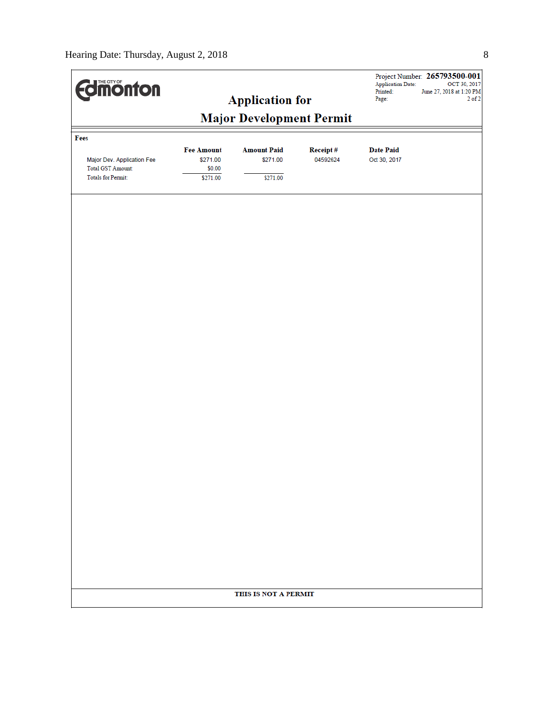| <b>Edinonton</b>                                      |                               |                                |                      | <b>Application Date:</b><br>Printed: | Project Number: 265793500-001<br>OCT 30, 2017<br>June 27, 2018 at 1:20 PM |  |  |
|-------------------------------------------------------|-------------------------------|--------------------------------|----------------------|--------------------------------------|---------------------------------------------------------------------------|--|--|
|                                                       |                               | <b>Application for</b>         |                      | Page:                                | $2$ of $2$                                                                |  |  |
| <b>Major Development Permit</b>                       |                               |                                |                      |                                      |                                                                           |  |  |
| Fees                                                  |                               |                                |                      |                                      |                                                                           |  |  |
| Major Dev. Application Fee                            | <b>Fee Amount</b><br>\$271.00 | <b>Amount Paid</b><br>\$271.00 | Receipt#<br>04592624 | <b>Date Paid</b><br>Oct 30, 2017     |                                                                           |  |  |
| <b>Total GST Amount:</b><br><b>Totals for Permit:</b> | \$0.00<br>\$271.00            | \$271.00                       |                      |                                      |                                                                           |  |  |
|                                                       |                               |                                |                      |                                      |                                                                           |  |  |
|                                                       |                               |                                |                      |                                      |                                                                           |  |  |
|                                                       |                               |                                |                      |                                      |                                                                           |  |  |
|                                                       |                               |                                |                      |                                      |                                                                           |  |  |
|                                                       |                               |                                |                      |                                      |                                                                           |  |  |
|                                                       |                               |                                |                      |                                      |                                                                           |  |  |
|                                                       |                               |                                |                      |                                      |                                                                           |  |  |
|                                                       |                               |                                |                      |                                      |                                                                           |  |  |
|                                                       |                               |                                |                      |                                      |                                                                           |  |  |
|                                                       |                               |                                |                      |                                      |                                                                           |  |  |
|                                                       |                               |                                |                      |                                      |                                                                           |  |  |
|                                                       |                               |                                |                      |                                      |                                                                           |  |  |
|                                                       |                               |                                |                      |                                      |                                                                           |  |  |
|                                                       |                               |                                |                      |                                      |                                                                           |  |  |
|                                                       |                               |                                |                      |                                      |                                                                           |  |  |
|                                                       |                               |                                |                      |                                      |                                                                           |  |  |
|                                                       |                               |                                |                      |                                      |                                                                           |  |  |
|                                                       |                               |                                |                      |                                      |                                                                           |  |  |
|                                                       |                               |                                |                      |                                      |                                                                           |  |  |
|                                                       |                               |                                |                      |                                      |                                                                           |  |  |
|                                                       |                               |                                |                      |                                      |                                                                           |  |  |
|                                                       |                               |                                |                      |                                      |                                                                           |  |  |
|                                                       |                               |                                |                      |                                      |                                                                           |  |  |
|                                                       |                               |                                |                      |                                      |                                                                           |  |  |
|                                                       |                               |                                |                      |                                      |                                                                           |  |  |
| THIS IS NOT A PERMIT                                  |                               |                                |                      |                                      |                                                                           |  |  |
|                                                       |                               |                                |                      |                                      |                                                                           |  |  |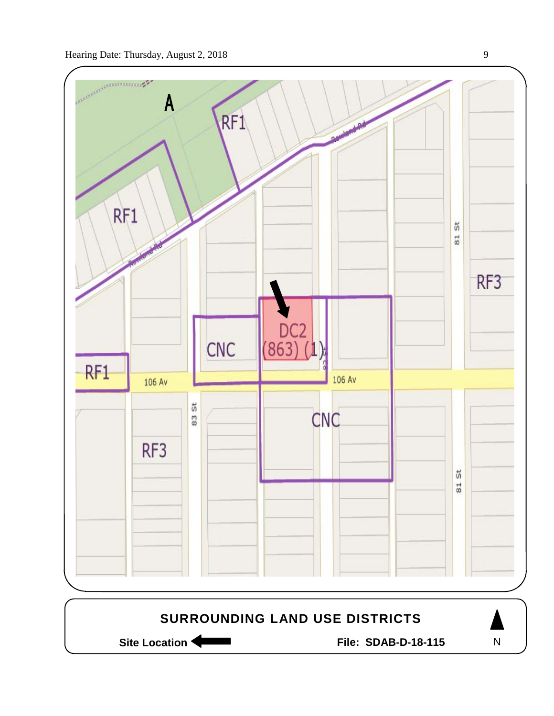